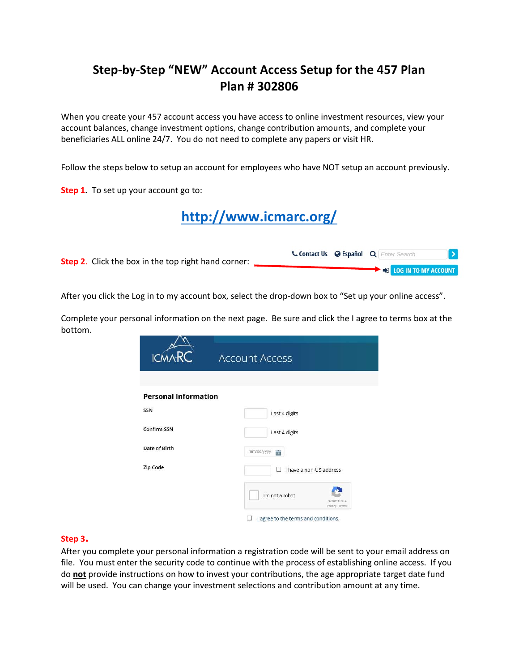# Step-by-Step "NEW" Account Access Setup for the 457 Plan Plan # 302806

When you create your 457 account access you have access to online investment resources, view your account balances, change investment options, change contribution amounts, and complete your beneficiaries ALL online 24/7. You do not need to complete any papers or visit HR.

Follow the steps below to setup an account for employees who have NOT setup an account previously.

Step 1. To set up your account go to:

http://www.icmarc.org/

| <b>Step 2.</b> Click the box in the top right hand corner: |  | Contact Us @ Español Q Enter Search |  |
|------------------------------------------------------------|--|-------------------------------------|--|
|                                                            |  | DESCRIPTION ACCOUNT                 |  |

After you click the Log in to my account box, select the drop-down box to "Set up your online access".

Complete your personal information on the next page. Be sure and click the I agree to terms box at the bottom.

| <b>ICMA</b>                 | <b>Account Access</b>                           |  |  |  |  |  |
|-----------------------------|-------------------------------------------------|--|--|--|--|--|
|                             |                                                 |  |  |  |  |  |
| <b>Personal Information</b> |                                                 |  |  |  |  |  |
| SSN                         | Last 4 digits                                   |  |  |  |  |  |
| Confirm SSN                 | Last 4 digits                                   |  |  |  |  |  |
| Date of Birth               | Ë<br>mm/dd/yyyy                                 |  |  |  |  |  |
| Zip Code                    | I have a non-US address                         |  |  |  |  |  |
|                             | I'm not a robot<br>reCAPTCHA<br>Privacy - Terms |  |  |  |  |  |
|                             | I agree to the terms and conditions.            |  |  |  |  |  |

# Step 3.

After you complete your personal information a registration code will be sent to your email address on file. You must enter the security code to continue with the process of establishing online access. If you do not provide instructions on how to invest your contributions, the age appropriate target date fund will be used. You can change your investment selections and contribution amount at any time.